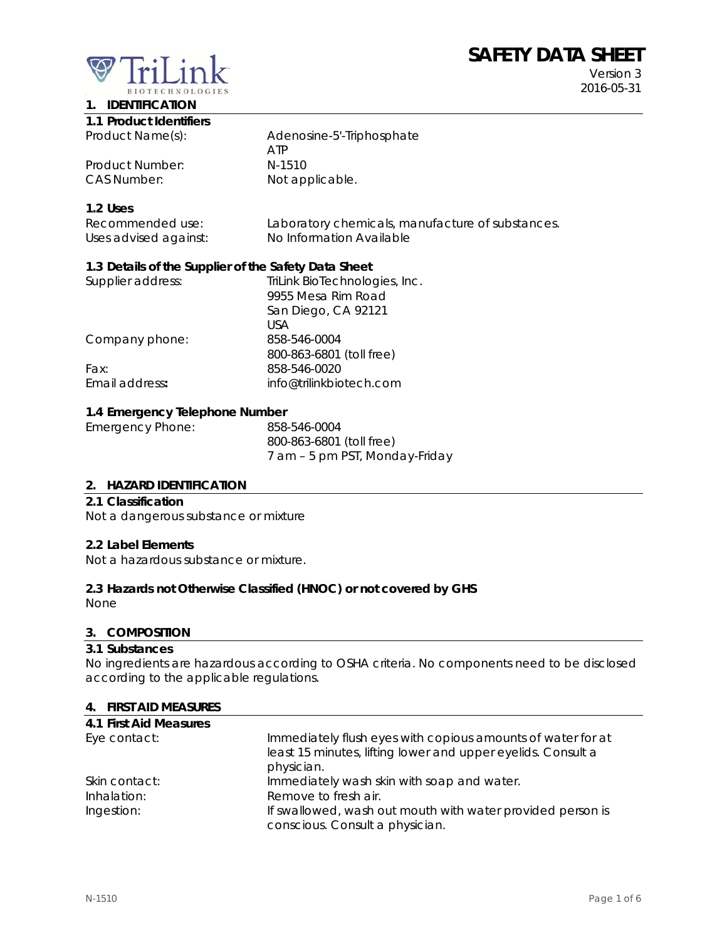# **SAFETY DATA SHEET**



Version 3 2016-05-31

# **1. IDENTIFICATION**

| 1.1 Product Identifiers |
|-------------------------|
|-------------------------|

**ATP** 

Product Number: N-1510 CAS Number: Not applicable.

Product Name(s): Adenosine-5'-Triphosphate

# **1.2 Uses**

Recommended use: Laboratory chemicals, manufacture of substances. Uses advised against: No Information Available

# **1.3 Details of the Supplier of the Safety Data Sheet**

| TriLink BioTechnologies, Inc. |
|-------------------------------|
| 9955 Mesa Rim Road            |
| San Diego, CA 92121           |
| USA                           |
| 858-546-0004                  |
| 800-863-6801 (toll free)      |
| 858-546-0020                  |
| info@trilinkbiotech.com       |
|                               |

### **1.4 Emergency Telephone Number**

Emergency Phone: 858-546-0004 800-863-6801 (toll free) 7 am – 5 pm PST, Monday-Friday

### **2. HAZARD IDENTIFICATION**

#### **2.1 Classification**

Not a dangerous substance or mixture

#### **2.2 Label Elements**

Not a hazardous substance or mixture.

### **2.3 Hazards not Otherwise Classified (HNOC) or not covered by GHS**

None

#### **3. COMPOSITION**

#### **3.1 Substances**

No ingredients are hazardous according to OSHA criteria. No components need to be disclosed according to the applicable regulations.

#### **4. FIRST AID MEASURES**

| 4.1 First Aid Measures |                                                              |
|------------------------|--------------------------------------------------------------|
| Eye contact:           | Immediately flush eyes with copious amounts of water for at  |
|                        | least 15 minutes, lifting lower and upper eyelids. Consult a |
|                        | physician.                                                   |
| Skin contact:          | Immediately wash skin with soap and water.                   |
| Inhalation:            | Remove to fresh air.                                         |
| Ingestion:             | If swallowed, wash out mouth with water provided person is   |
|                        | conscious. Consult a physician.                              |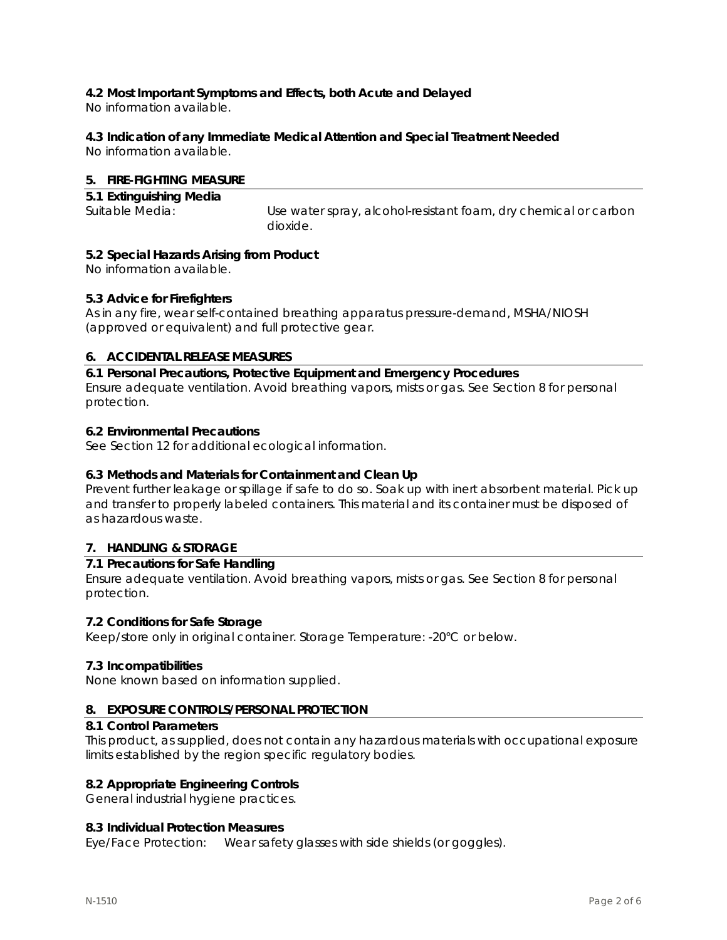# **4.2 Most Important Symptoms and Effects, both Acute and Delayed**

No information available.

# **4.3 Indication of any Immediate Medical Attention and Special Treatment Needed**

No information available.

### **5. FIRE-FIGHTING MEASURE**

| 5.1 Extinguishing Media |                                                                 |
|-------------------------|-----------------------------------------------------------------|
| Suitable Media:         | Use water spray, alcohol-resistant foam, dry chemical or carbon |
|                         | dioxide.                                                        |

### **5.2 Special Hazards Arising from Product**

No information available.

### **5.3 Advice for Firefighters**

As in any fire, wear self-contained breathing apparatus pressure-demand, MSHA/NIOSH (approved or equivalent) and full protective gear.

# **6. ACCIDENTAL RELEASE MEASURES**

**6.1 Personal Precautions, Protective Equipment and Emergency Procedures**  Ensure adequate ventilation. Avoid breathing vapors, mists or gas. See Section 8 for personal protection.

### **6.2 Environmental Precautions**

See Section 12 for additional ecological information.

# **6.3 Methods and Materials for Containment and Clean Up**

Prevent further leakage or spillage if safe to do so. Soak up with inert absorbent material. Pick up and transfer to properly labeled containers. This material and its container must be disposed of as hazardous waste.

# **7. HANDLING & STORAGE**

### **7.1 Precautions for Safe Handling**

Ensure adequate ventilation. Avoid breathing vapors, mists or gas. See Section 8 for personal protection.

### **7.2 Conditions for Safe Storage**

Keep/store only in original container. Storage Temperature: -20°C or below.

### **7.3 Incompatibilities**

None known based on information supplied.

### **8. EXPOSURE CONTROLS/PERSONAL PROTECTION**

### **8.1 Control Parameters**

This product, as supplied, does not contain any hazardous materials with occupational exposure limits established by the region specific regulatory bodies.

### **8.2 Appropriate Engineering Controls**

General industrial hygiene practices.

### **8.3 Individual Protection Measures**

Eye/Face Protection: Wear safety glasses with side shields (or goggles).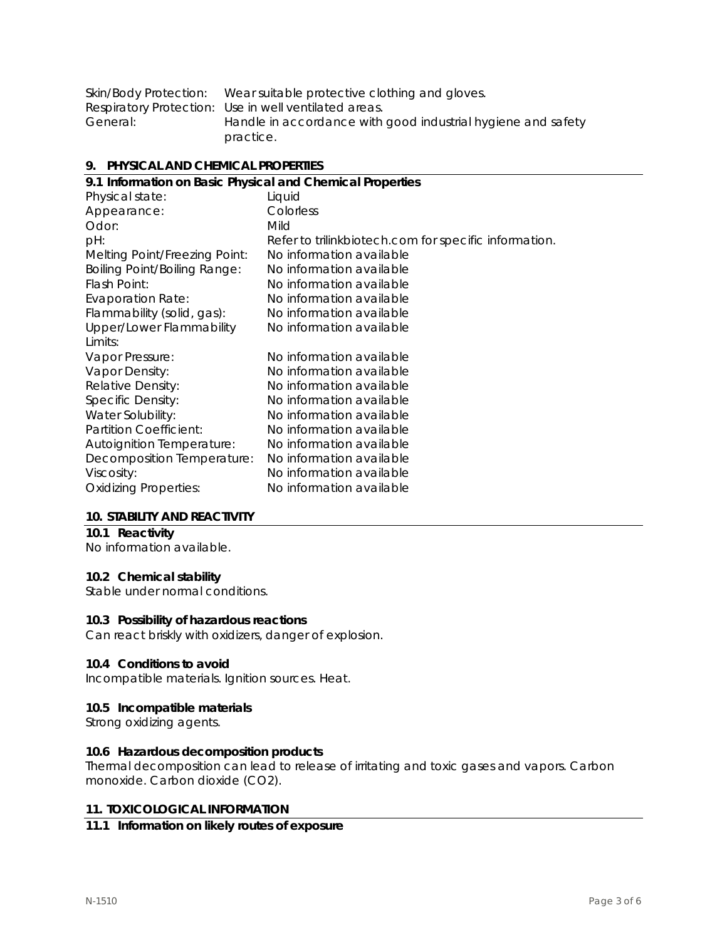| Skin/Body Protection: | Wear suitable protective clothing and gloves.                |
|-----------------------|--------------------------------------------------------------|
|                       | Respiratory Protection: Use in well ventilated areas.        |
| General:              | Handle in accordance with good industrial hygiene and safety |
|                       | practice.                                                    |

#### **9. PHYSICAL AND CHEMICAL PROPERTIES**

| 9.1 Information on Basic Physical and Chemical Properties |                                                       |
|-----------------------------------------------------------|-------------------------------------------------------|
| Physical state:                                           | Liquid                                                |
| Appearance:                                               | Colorless                                             |
| Odor:                                                     | Mild                                                  |
| pH:                                                       | Refer to trilinkbiotech.com for specific information. |
| Melting Point/Freezing Point:                             | No information available                              |
| <b>Boiling Point/Boiling Range:</b>                       | No information available                              |
| Flash Point:                                              | No information available                              |
| <b>Evaporation Rate:</b>                                  | No information available                              |
| Flammability (solid, gas):                                | No information available                              |
| Upper/Lower Flammability                                  | No information available                              |
| Limits:                                                   |                                                       |
| Vapor Pressure:                                           | No information available                              |
| Vapor Density:                                            | No information available                              |
| Relative Density:                                         | No information available                              |
| Specific Density:                                         | No information available                              |
| Water Solubility:                                         | No information available                              |
| Partition Coefficient:                                    | No information available                              |
| <b>Autoignition Temperature:</b>                          | No information available                              |
| Decomposition Temperature:                                | No information available                              |
| Viscosity:                                                | No information available                              |
| <b>Oxidizing Properties:</b>                              | No information available                              |
|                                                           |                                                       |

#### **10. STABILITY AND REACTIVITY**

# **10.1 Reactivity**

No information available.

# **10.2 Chemical stability**

Stable under normal conditions.

#### **10.3 Possibility of hazardous reactions**

Can react briskly with oxidizers, danger of explosion.

#### **10.4 Conditions to avoid**

Incompatible materials. Ignition sources. Heat.

#### **10.5 Incompatible materials**

Strong oxidizing agents.

#### **10.6 Hazardous decomposition products**

Thermal decomposition can lead to release of irritating and toxic gases and vapors. Carbon monoxide. Carbon dioxide (CO2).

#### **11. TOXICOLOGICAL INFORMATION**

#### **11.1 Information on likely routes of exposure**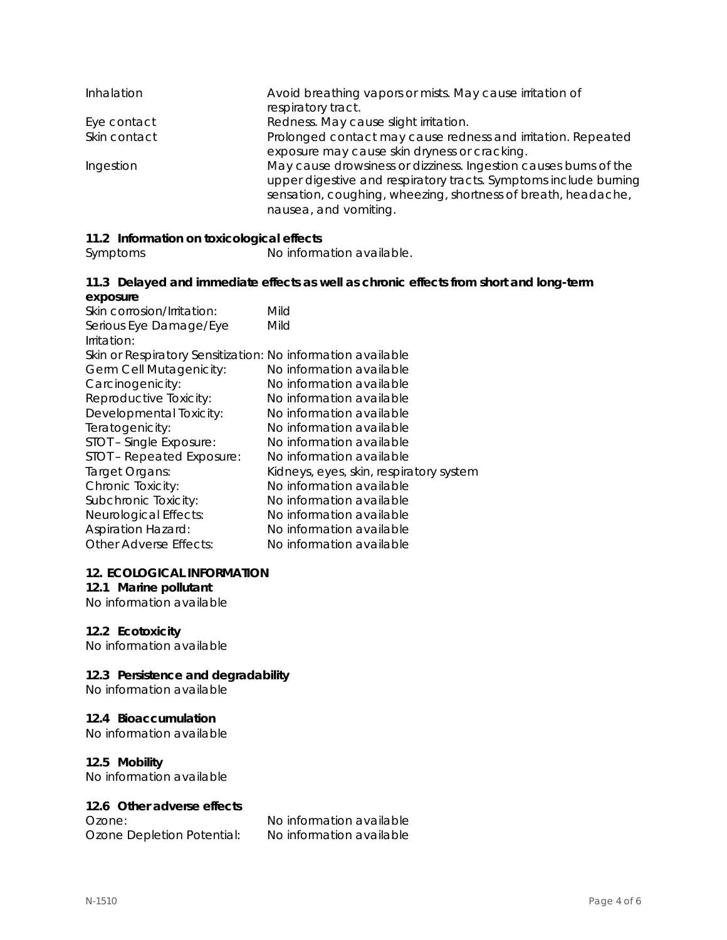| Inhalation   | Avoid breathing vapors or mists. May cause irritation of<br>respiratory tract.                                                                                                                                                 |
|--------------|--------------------------------------------------------------------------------------------------------------------------------------------------------------------------------------------------------------------------------|
| Eye contact  | Redness. May cause slight irritation.                                                                                                                                                                                          |
| Skin contact | Prolonged contact may cause redness and irritation. Repeated<br>exposure may cause skin dryness or cracking.                                                                                                                   |
| Ingestion    | May cause drowsiness or dizziness. Ingestion causes burns of the<br>upper digestive and respiratory tracts. Symptoms include burning<br>sensation, coughing, wheezing, shortness of breath, headache,<br>nausea, and vomiting. |

# **11.2 Information on toxicological effects**

Symptoms No information available.

#### **11.3 Delayed and immediate effects as well as chronic effects from short and long-term exposure**

| Skin corrosion/Irritation:                                  | Mild                                    |
|-------------------------------------------------------------|-----------------------------------------|
| Serious Eye Damage/Eye                                      | Mild                                    |
| Irritation:                                                 |                                         |
| Skin or Respiratory Sensitization: No information available |                                         |
| Germ Cell Mutagenicity:                                     | No information available                |
| Carcinogenicity:                                            | No information available                |
| Reproductive Toxicity:                                      | No information available                |
| Developmental Toxicity:                                     | No information available                |
| Teratogenicity:                                             | No information available                |
| STOT - Single Exposure:                                     | No information available                |
| STOT - Repeated Exposure:                                   | No information available                |
| Target Organs:                                              | Kidneys, eyes, skin, respiratory system |
| Chronic Toxicity:                                           | No information available                |
| Subchronic Toxicity:                                        | No information available                |
| Neurological Effects:                                       | No information available                |
| <b>Aspiration Hazard:</b>                                   | No information available                |
| Other Adverse Effects:                                      | No information available                |

#### **12. ECOLOGICAL INFORMATION**

# **12.1 Marine pollutant**

No information available

### **12.2 Ecotoxicity**

No information available

# **12.3 Persistence and degradability**

No information available

### **12.4 Bioaccumulation**

No information available

### **12.5 Mobility**

No information available

### **12.6 Other adverse effects**

Ozone Depletion Potential: No information available

Ozone: No information available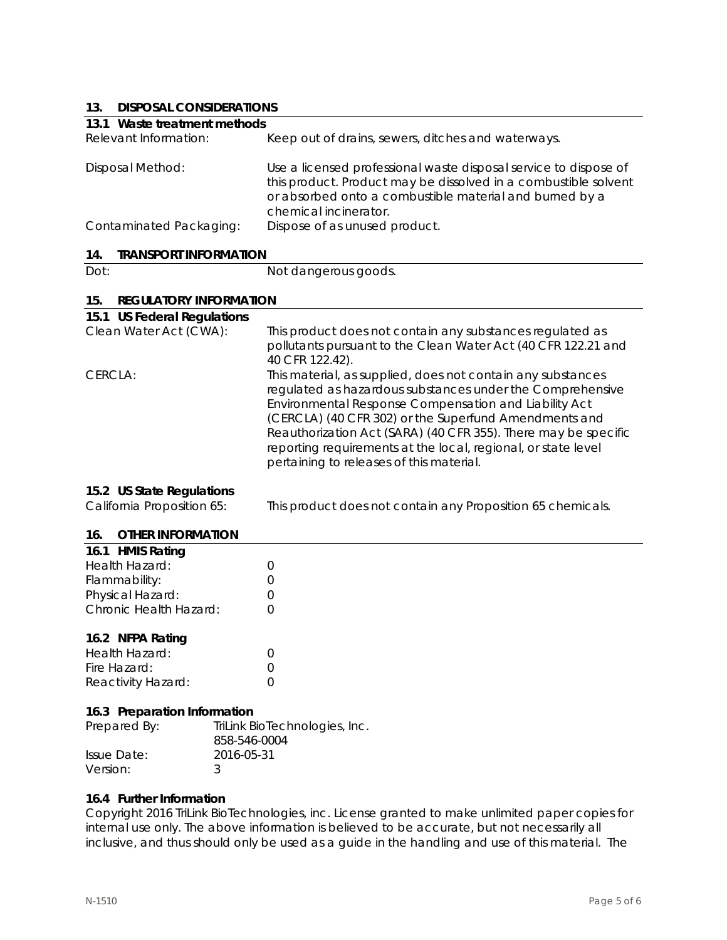# **13. DISPOSAL CONSIDERATIONS**

| IJ.<br><b>DISPOSAL CONSIDERATIONS</b>                   |                                                                                                                                                                                                                                                                                                                                                                                                                           |
|---------------------------------------------------------|---------------------------------------------------------------------------------------------------------------------------------------------------------------------------------------------------------------------------------------------------------------------------------------------------------------------------------------------------------------------------------------------------------------------------|
| 13.1 Waste treatment methods                            |                                                                                                                                                                                                                                                                                                                                                                                                                           |
| Relevant Information:                                   | Keep out of drains, sewers, ditches and waterways.                                                                                                                                                                                                                                                                                                                                                                        |
| <b>Disposal Method:</b>                                 | Use a licensed professional waste disposal service to dispose of<br>this product. Product may be dissolved in a combustible solvent<br>or absorbed onto a combustible material and burned by a<br>chemical incinerator.                                                                                                                                                                                                   |
| Contaminated Packaging:                                 | Dispose of as unused product.                                                                                                                                                                                                                                                                                                                                                                                             |
| 14.<br><b>TRANSPORT INFORMATION</b>                     |                                                                                                                                                                                                                                                                                                                                                                                                                           |
| Dot:                                                    | Not dangerous goods.                                                                                                                                                                                                                                                                                                                                                                                                      |
| 15.<br><b>REGULATORY INFORMATION</b>                    |                                                                                                                                                                                                                                                                                                                                                                                                                           |
| 15.1 US Federal Regulations                             |                                                                                                                                                                                                                                                                                                                                                                                                                           |
| Clean Water Act (CWA):                                  | This product does not contain any substances regulated as<br>pollutants pursuant to the Clean Water Act (40 CFR 122.21 and<br>40 CFR 122.42).                                                                                                                                                                                                                                                                             |
| CERCLA:                                                 | This material, as supplied, does not contain any substances<br>regulated as hazardous substances under the Comprehensive<br>Environmental Response Compensation and Liability Act<br>(CERCLA) (40 CFR 302) or the Superfund Amendments and<br>Reauthorization Act (SARA) (40 CFR 355). There may be specific<br>reporting requirements at the local, regional, or state level<br>pertaining to releases of this material. |
| 15.2 US State Regulations<br>California Proposition 65: | This product does not contain any Proposition 65 chemicals.                                                                                                                                                                                                                                                                                                                                                               |
| <b>OTHER INFORMATION</b><br>16.                         |                                                                                                                                                                                                                                                                                                                                                                                                                           |
|                                                         |                                                                                                                                                                                                                                                                                                                                                                                                                           |

| 16.1 HMIS Rating       |                  |
|------------------------|------------------|
| Health Hazard:         | $\left( \right)$ |
| Flammability:          | $\left( \right)$ |
| Physical Hazard:       | $\left( \right)$ |
| Chronic Health Hazard: | $\left( \right)$ |
|                        |                  |

### **16.2 NFPA Rating**

| Health Hazard:     |                  |
|--------------------|------------------|
| Fire Hazard:       | $\left( \right)$ |
| Reactivity Hazard: |                  |

#### **16.3 Preparation Information**

| Prepared By: | TriLink BioTechnologies, Inc.<br>858-546-0004 |
|--------------|-----------------------------------------------|
| Issue Date:  | 2016-05-31                                    |
| Version:     |                                               |

### **16.4 Further Information**

Copyright 2016 TriLink BioTechnologies, inc. License granted to make unlimited paper copies for internal use only. The above information is believed to be accurate, but not necessarily all inclusive, and thus should only be used as a guide in the handling and use of this material. The